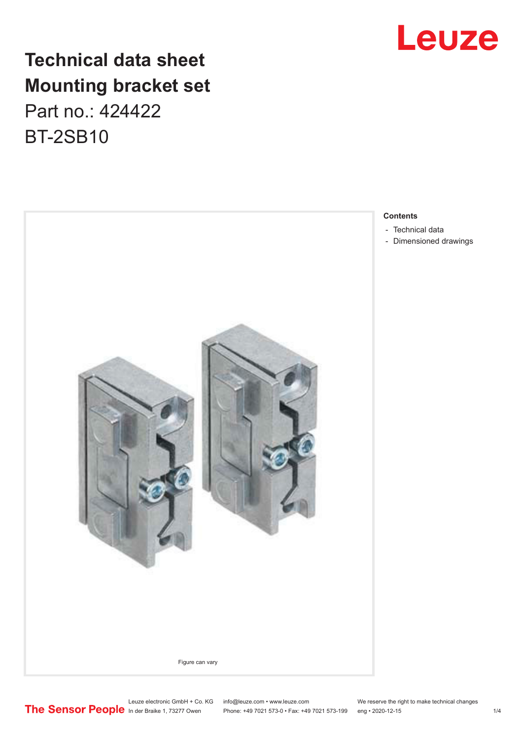

## **Technical data sheet Mounting bracket set**

Part no.: 424422 BT-2SB10



#### **Contents**

- [Technical data](#page-1-0)
- [Dimensioned drawings](#page-2-0)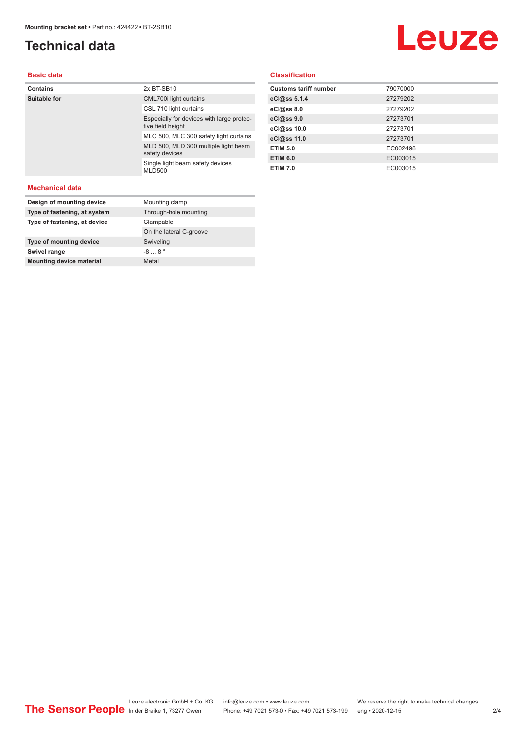### <span id="page-1-0"></span>**Technical data**

## Leuze

#### **Basic data**

| <b>Contains</b> | 2x BT-SB10                                                     |
|-----------------|----------------------------------------------------------------|
| Suitable for    | CML700i light curtains                                         |
|                 | CSL 710 light curtains                                         |
|                 | Especially for devices with large protec-<br>tive field height |
|                 | MLC 500, MLC 300 safety light curtains                         |
|                 | MLD 500, MLD 300 multiple light beam<br>safety devices         |
|                 | Single light beam safety devices<br><b>MLD500</b>              |
|                 |                                                                |

#### **Classification**

| <b>Customs tariff number</b> | 79070000 |
|------------------------------|----------|
| eCl@ss 5.1.4                 | 27279202 |
| eCl@ss 8.0                   | 27279202 |
| eCl@ss 9.0                   | 27273701 |
| eCl@ss 10.0                  | 27273701 |
| eCl@ss 11.0                  | 27273701 |
| <b>ETIM 5.0</b>              | EC002498 |
| <b>ETIM 6.0</b>              | EC003015 |
| <b>ETIM 7.0</b>              | EC003015 |

#### **Mechanical data**

| Design of mounting device       | Mounting clamp          |
|---------------------------------|-------------------------|
| Type of fastening, at system    | Through-hole mounting   |
| Type of fastening, at device    | Clampable               |
|                                 | On the lateral C-groove |
| Type of mounting device         | Swiveling               |
| Swivel range                    | $-88$                   |
| <b>Mounting device material</b> | Metal                   |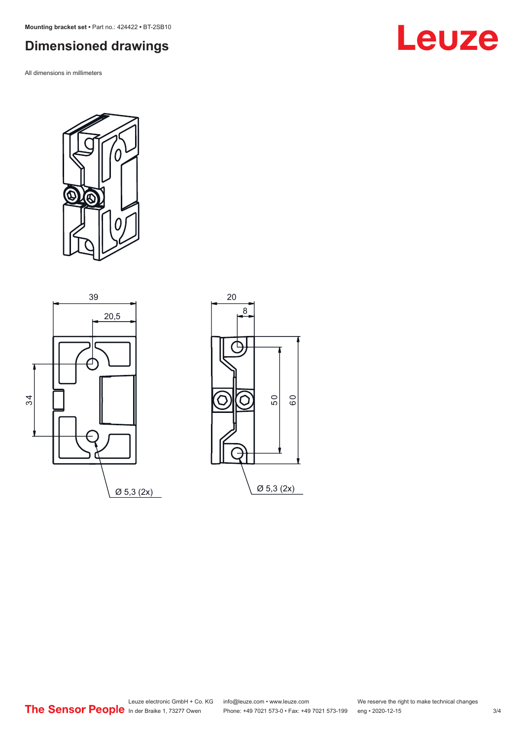<span id="page-2-0"></span>**Mounting bracket set •** Part no.: 424422 **•** BT-2SB10

## **Dimensioned drawings**

All dimensions in millimeters



Ø